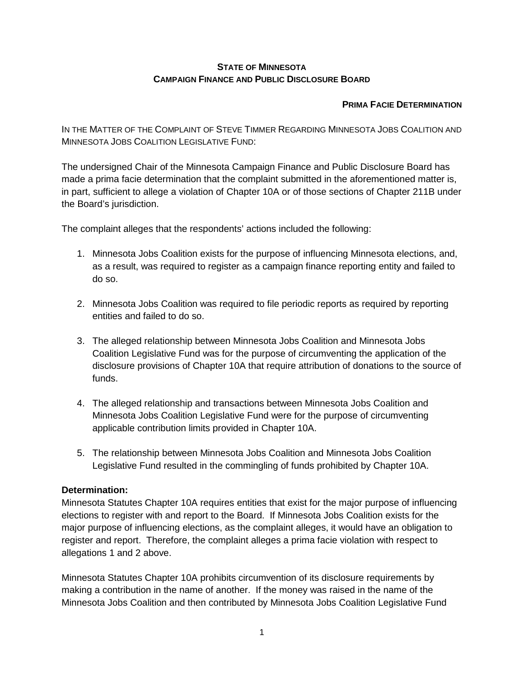## **STATE OF MINNESOTA CAMPAIGN FINANCE AND PUBLIC DISCLOSURE BOARD**

## **PRIMA FACIE DETERMINATION**

IN THE MATTER OF THE COMPLAINT OF STEVE TIMMER REGARDING MINNESOTA JOBS COALITION AND MINNESOTA JOBS COALITION LEGISLATIVE FUND:

The undersigned Chair of the Minnesota Campaign Finance and Public Disclosure Board has made a prima facie determination that the complaint submitted in the aforementioned matter is, in part, sufficient to allege a violation of Chapter 10A or of those sections of Chapter 211B under the Board's jurisdiction.

The complaint alleges that the respondents' actions included the following:

- 1. Minnesota Jobs Coalition exists for the purpose of influencing Minnesota elections, and, as a result, was required to register as a campaign finance reporting entity and failed to do so.
- 2. Minnesota Jobs Coalition was required to file periodic reports as required by reporting entities and failed to do so.
- 3. The alleged relationship between Minnesota Jobs Coalition and Minnesota Jobs Coalition Legislative Fund was for the purpose of circumventing the application of the disclosure provisions of Chapter 10A that require attribution of donations to the source of funds.
- 4. The alleged relationship and transactions between Minnesota Jobs Coalition and Minnesota Jobs Coalition Legislative Fund were for the purpose of circumventing applicable contribution limits provided in Chapter 10A.
- 5. The relationship between Minnesota Jobs Coalition and Minnesota Jobs Coalition Legislative Fund resulted in the commingling of funds prohibited by Chapter 10A.

## **Determination:**

Minnesota Statutes Chapter 10A requires entities that exist for the major purpose of influencing elections to register with and report to the Board. If Minnesota Jobs Coalition exists for the major purpose of influencing elections, as the complaint alleges, it would have an obligation to register and report. Therefore, the complaint alleges a prima facie violation with respect to allegations 1 and 2 above.

Minnesota Statutes Chapter 10A prohibits circumvention of its disclosure requirements by making a contribution in the name of another. If the money was raised in the name of the Minnesota Jobs Coalition and then contributed by Minnesota Jobs Coalition Legislative Fund